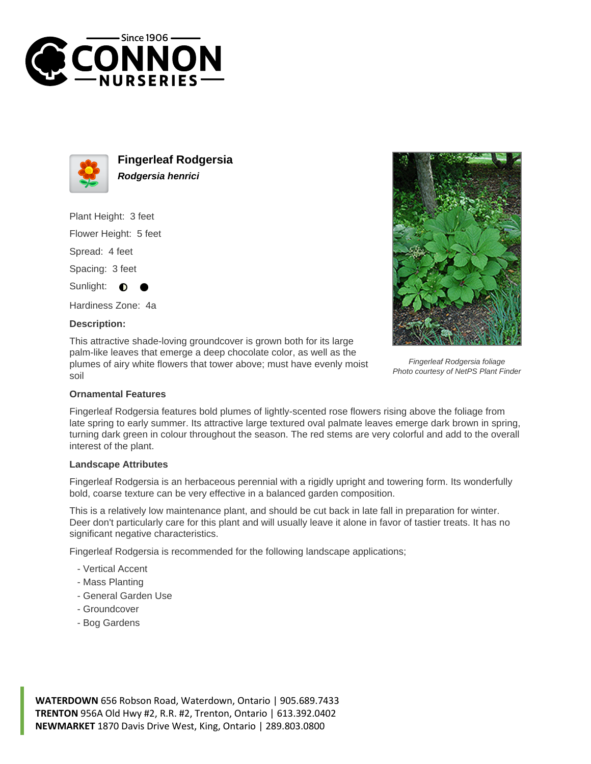



**Fingerleaf Rodgersia Rodgersia henrici**

Plant Height: 3 feet

Flower Height: 5 feet

Spread: 4 feet

Spacing: 3 feet

Sunlight:  $\bullet$ 

Hardiness Zone: 4a

## **Description:**

This attractive shade-loving groundcover is grown both for its large palm-like leaves that emerge a deep chocolate color, as well as the plumes of airy white flowers that tower above; must have evenly moist soil



Fingerleaf Rodgersia foliage Photo courtesy of NetPS Plant Finder

## **Ornamental Features**

Fingerleaf Rodgersia features bold plumes of lightly-scented rose flowers rising above the foliage from late spring to early summer. Its attractive large textured oval palmate leaves emerge dark brown in spring, turning dark green in colour throughout the season. The red stems are very colorful and add to the overall interest of the plant.

## **Landscape Attributes**

Fingerleaf Rodgersia is an herbaceous perennial with a rigidly upright and towering form. Its wonderfully bold, coarse texture can be very effective in a balanced garden composition.

This is a relatively low maintenance plant, and should be cut back in late fall in preparation for winter. Deer don't particularly care for this plant and will usually leave it alone in favor of tastier treats. It has no significant negative characteristics.

Fingerleaf Rodgersia is recommended for the following landscape applications;

- Vertical Accent
- Mass Planting
- General Garden Use
- Groundcover
- Bog Gardens

**WATERDOWN** 656 Robson Road, Waterdown, Ontario | 905.689.7433 **TRENTON** 956A Old Hwy #2, R.R. #2, Trenton, Ontario | 613.392.0402 **NEWMARKET** 1870 Davis Drive West, King, Ontario | 289.803.0800